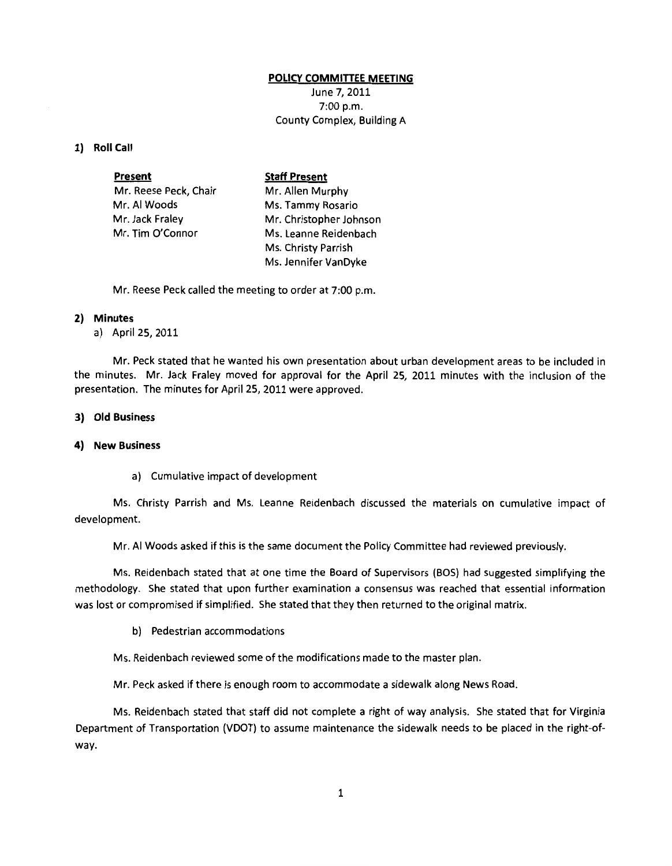## **POLICY COMMITTEE MEETING**

June 7, 2011 7:00 p.m. County Complex, Building A

## **1) Roll Call**

| <b>Present</b>        | <b>Staff Present</b>    |
|-----------------------|-------------------------|
| Mr. Reese Peck, Chair | Mr. Allen Murphy        |
| Mr. Al Woods          | Ms. Tammy Rosario       |
| Mr. Jack Fraley       | Mr. Christopher Johnson |
| Mr. Tim O'Connor      | Ms. Leanne Reidenbach   |
|                       | Ms. Christy Parrish     |
|                       | Ms. Jennifer VanDyke    |

Mr. Reese Peck called the meeting to order at 7:00 p.m.

## **2) Minutes**

a) April 25, 2011

Mr. Peck stated that he wanted his own presentation about urban development areas to be included in the minutes. Mr. Jack Fraley moved for approval for the April 25, 2011 minutes with the inclusion of the presentation. The minutes for April 25, 2011 were approved.

## **3) Old Business**

#### **4) New Business**

a) Cumulative impact of development

Ms. Christy Parrish and Ms. Leanne Reidenbach discussed the materials on cumulative impact of development.

Mr. AI Woods asked if this is the same document the Policy Committee had reviewed previously.

Ms. Reidenbach stated that at one time the Board of Supervisors (BOS) had suggested simplifying the methodology. She stated that upon further examination a consensus was reached that essential information was lost or compromised if simplified. She stated that they then returned to the original matrix.

b) Pedestrian accommodations

Ms. Reidenbach reviewed some of the modifications made to the master plan.

Mr. Peck asked if there is enough room to accommodate a sidewalk along News Road.

Ms. Reidenbach stated that staff did not complete a right of way analysis. She stated that for Virginia Department of Transportation (VDOT) to assume maintenance the sidewalk needs to be placed in the right-ofway.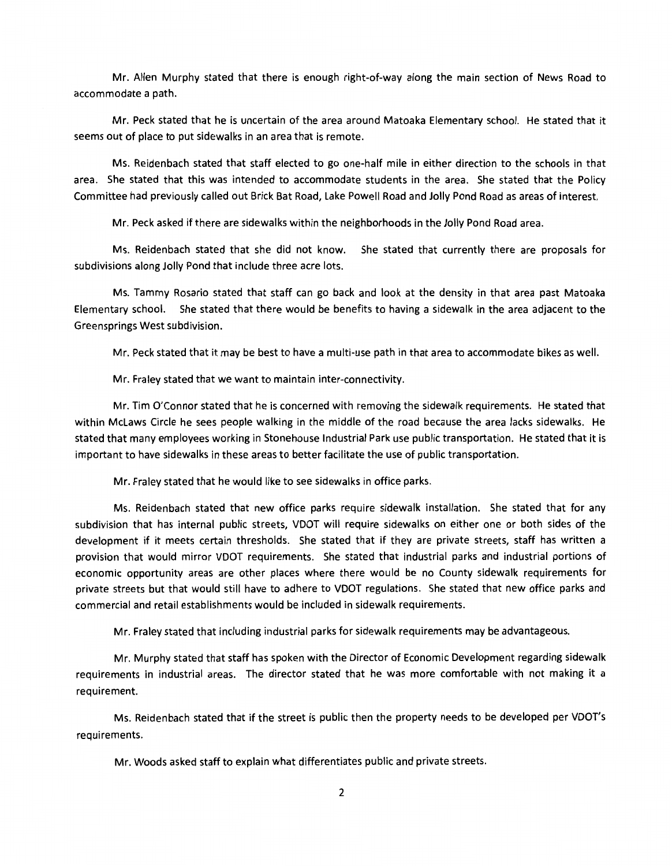Mr. Allen Murphy stated that there is enough right-of-way along the main section of News Road to accommodate a path.

Mr. Peck stated that he is uncertain of the area around Matoaka Elementary school. He stated that it seems out of place to put sidewalks in an area that is remote.

Ms. Reidenbach stated that staff elected to go one-half mile in either direction to the schools in that area. She stated that this was intended to accommodate students in the area. She stated that the Policy Committee had previously called out Brick Bat Road, Lake Powell Road and Jolly Pond Road as areas of interest.

Mr. Peck asked if there are sidewalks within the neighborhoods in the Jolly Pond Road area.

Ms. Reidenbach stated that she did not know. She stated that currently there are proposals for subdivisions along Jolly Pond that include three acre lots.

Ms. Tammy Rosario stated that staff can go back and look at the density in that area past Matoaka Elementary school. She stated that there would be benefits to having a sidewalk in the area adjacent to the Greensprings West subdivision.

Mr. Peck stated that it may be best to have a multi-use path in that area to accommodate bikes as well.

Mr. Fraley stated that we want to maintain inter-connectivity.

Mr. Tim O'Connor stated that he is concerned with removing the sidewalk requirements. He stated that within Mclaws Circle he sees people walking in the middle of the road because the area lacks sidewalks. He stated that many employees working in Stonehouse Industrial Park use public transportation. He stated that it is important to have sidewalks in these areas to better facilitate the use of public transportation.

Mr. Fraley stated that he would like to see sidewalks in office parks.

Ms. Reidenbach stated that new office parks require sidewalk installation. She stated that for any subdivision that has internal public streets, VDOT will require sidewalks on either one or both sides of the development if it meets certain thresholds. She stated that if they are private streets, staff has written a provision that would mirror VDOT requirements. She stated that industrial parks and industrial portions of economic opportunity areas are other places where there would be no County sidewalk requirements for private streets but that would still have to adhere to VDOT regulations. She stated that new office parks and commercial and retail establishments would be included in sidewalk requirements.

Mr. Fraley stated that including industrial parks for sidewalk requirements may be advantageous.

Mr. Murphy stated that staff has spoken with the Director of Economic Development regarding sidewalk requirements in industrial areas. The director stated that he was more comfortable with not making it a requirement.

Ms. Reidenbach stated that if the street is public then the property needs to be developed per VDOT's requirements.

Mr. Woods asked staff to explain what differentiates public and private streets.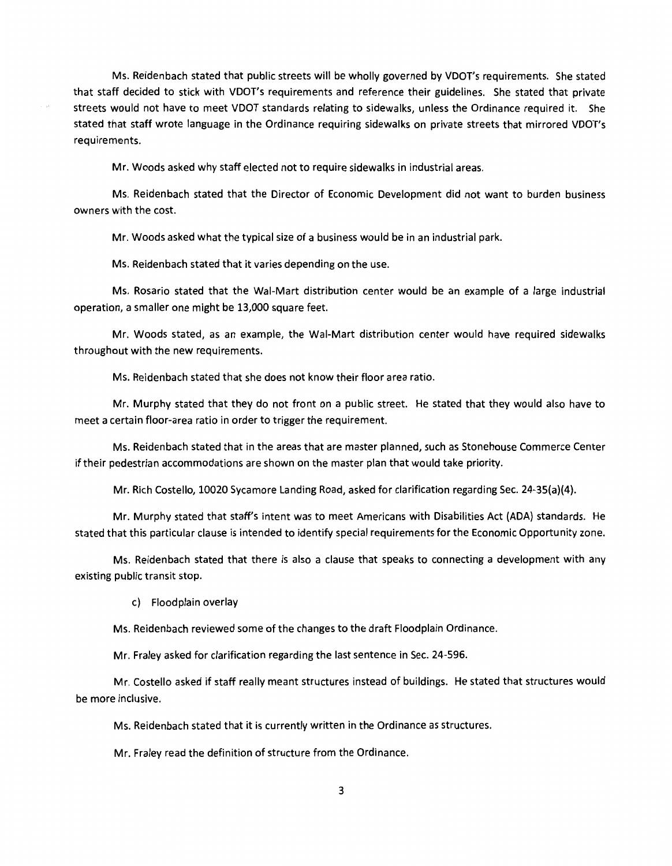Ms. Reidenbach stated that public streets will be wholly governed by VDOT's requirements. She stated that staff decided to stick with VDOT's requirements and reference their guidelines. She stated that private streets would not have to meet VDOT standards relating to sidewalks, unless the Ordinance required it. She stated that staff wrote language in the Ordinance requiring sidewalks on private streets that mirrored VDOT's requirements.

Mr. Woods asked why staff elected not to require sidewalks in industrial areas.

Ms. Reidenbach stated that the Director of Economic Development did not want to burden business owners with the cost.

Mr. Woods asked what the typical size of a business would be in an industrial park.

Ms. Reidenbach stated that it varies depending on the use.

Ms. Rosario stated that the Wai-Mart distribution center would be an example of a large industrial operation, a smaller one might be 13,000 square feet.

Mr. Woods stated, as an example, the Wai-Mart distribution center would have required sidewalks throughout with the new requirements.

Ms. Reidenbach stated that she does not know their floor area ratio.

Mr. Murphy stated that they do not front on a public street. He stated that they would also have to meet a certain floor-area ratio in order to trigger the requirement.

Ms. Reidenbach stated that in the areas that are master planned, such as Stonehouse Commerce Center if their pedestrian accommodations are shown on the master plan that would take priority.

Mr. Rich Costello, 10020 Sycamore Landing Road, asked for clarification regarding Sec. 24-3S(a)(4).

Mr. Murphy stated that staff's intent was to meet Americans with Disabilities Act (ADA) standards. He stated that this particular clause is intended to identify special requirements for the Economic Opportunity zone.

Ms. Reidenbach stated that there is also a clause that speaks to connecting a development with any existing public transit stop.

c) Floodplain overlay

Ms. Reidenbach reviewed some of the changes to the draft Floodplain Ordinance.

Mr. Fraley asked for clarification regarding the last sentence in Sec. 24-596.

Mr. Costello asked if staff really meant structures instead of buildings. He stated that structures would be more inclusive.

Ms. Reidenbach stated that it is currently written in the Ordinance as structures.

Mr. Fraley read the definition of structure from the Ordinance.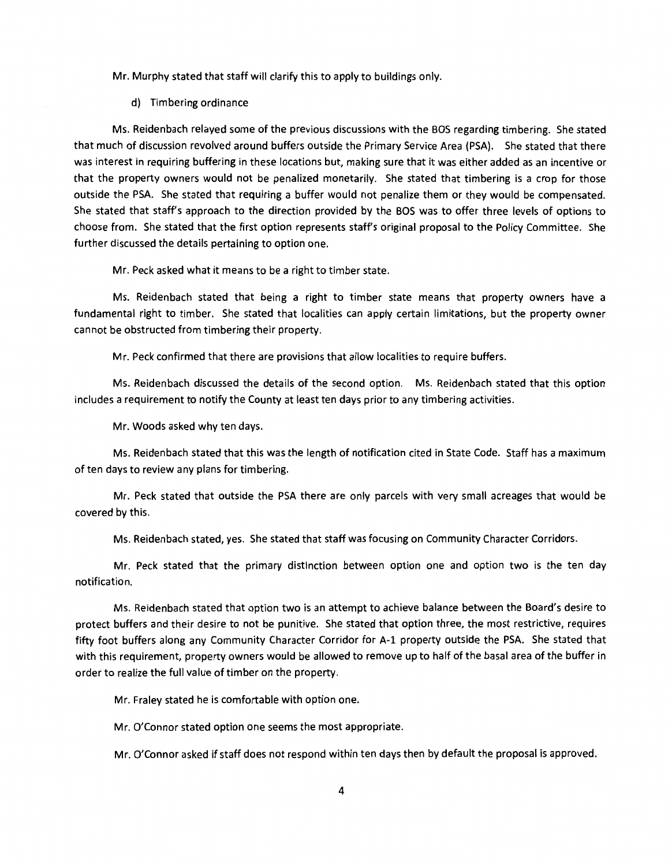Mr. Murphy stated that staff will clarify this to apply to buildings only.

d) Timbering ordinance

Ms. Reidenbach relayed some of the previous discussions with the BOS regarding timbering. She stated that much of discussion revolved around buffers outside the Primary Service Area (PSA). She stated that there was interest in requiring buffering in these locations but, making sure that it was either added as an incentive or that the property owners would not be penalized monetarily. She stated that timbering is a crop for those outside the PSA. She stated that requiring a buffer would not penalize them or they would be compensated. She stated that staff's approach to the direction provided by the BOS was to offer three levels of options to choose from. She stated that the first option represents staff's original proposal to the Policy Committee. She further discussed the details pertaining to option one.

Mr. Peck asked what it means to be a right to timber state.

Ms. Reidenbach stated that being a right to timber state means that property owners have a fundamental right to timber. She stated that localities can apply certain limitations, but the property owner cannot be obstructed from timbering their property.

Mr. Peck confirmed that there are provisions that allow localities to require buffers.

Ms. Reidenbach discussed the details of the second option. Ms. Reidenbach stated that this option includes a requirement to notify the County at least ten days prior to any timbering activities.

Mr. Woods asked why ten days.

Ms. Reidenbach stated that this was the length of notification cited in State Code. Staff has a maximum of ten days to review any plans for timbering.

Mr. Peck stated that outside the PSA there are only parcels with very small acreages that would be covered by this.

Ms. Reidenbach stated, yes. She stated that staff was focusing on Community Character Corridors.

Mr. Peck stated that the primary distinction between option one and option two is the ten day notification.

Ms. Reidenbach stated that option two is an attempt to achieve balance between the Board's desire to protect buffers and their desire to not be punitive. She stated that option three, the most restrictive, requires fifty foot buffers along any Community Character Corridor for A-1 property outside the PSA. She stated that with this requirement, property owners would be allowed to remove up to half of the basal area of the buffer in order to realize the full value of timber on the property.

Mr. Fraley stated he is comfortable with option one.

Mr. O'Connor stated option one seems the most appropriate.

Mr. O'Connor asked if staff does not respond within ten days then by default the proposal is approved.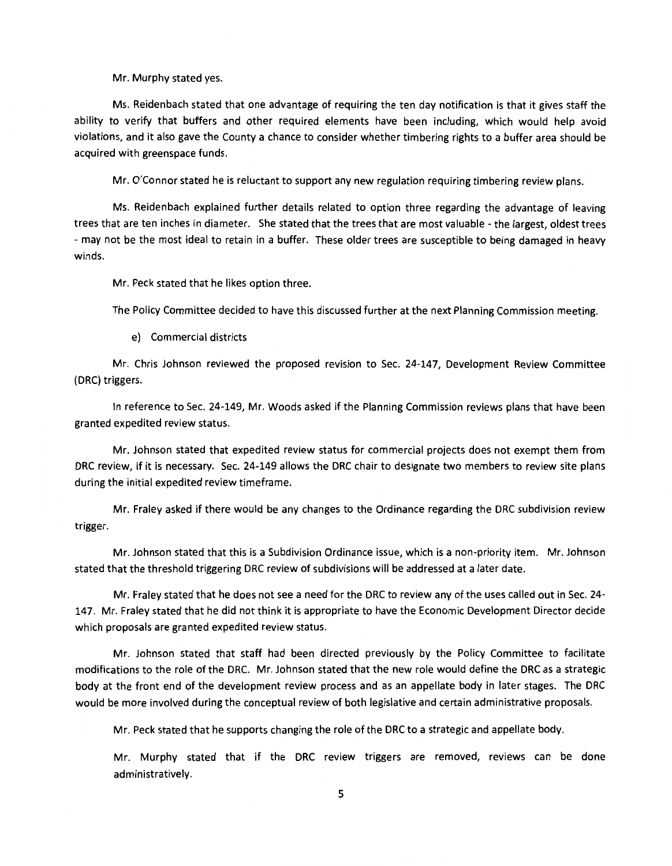Mr. Murphy stated yes.

Ms. Reidenbach stated that one advantage of requiring the ten day notification is that it gives staff the ability to verify that buffers and other required elements have been including, which would help avoid violations, and it also gave the County a chance to consider whether timbering rights to a buffer area should be acquired with greenspace funds.

Mr. O'Connor stated he is reluctant to support any new regulation requiring timbering review plans.

Ms. Reidenbach explained further details related to option three regarding the advantage of leaving trees that are ten inches in diameter. She stated that the trees that are most valuable -the largest, oldest trees - may not be the most ideal to retain in a buffer. These older trees are susceptible to being damaged in heavy winds.

Mr. Peck stated that he likes option three.

The Policy Committee decided to have this discussed further at the next Planning Commission meeting.

e) Commercial districts

Mr. Chris Johnson reviewed the proposed revision to Sec. 24-147, Development Review Committee (DRC) triggers.

In reference to Sec. 24-149, Mr. Woods asked if the Planning Commission reviews plans that have been granted expedited review status.

Mr. Johnson stated that expedited review status for commercial projects does not exempt them from DRC review, if it is necessary. Sec. 24-149 allows the DRC chair to designate two members to review site plans during the initial expedited review timeframe.

Mr. Fraley asked if there would be any changes to the Ordinance regarding the DRC subdivision review trigger.

Mr. Johnson stated that this is a Subdivision Ordinance issue, which is a non-priority item. Mr. Johnson stated that the threshold triggering DRC review of subdivisions will be addressed at a later date.

Mr. Fraley stated that he does not see a need for the DRC to review any of the uses called out in Sec. 24- 147. Mr. Fraley stated that he did not think it is appropriate to have the Economic Development Director decide which proposals are granted expedited review status.

Mr. Johnson stated that staff had been directed previously by the Policy Committee to facilitate modifications to the role of the DRC. Mr. Johnson stated that the new role would define the DRC as a strategic body at the front end of the development review process and as an appellate body in later stages. The DRC would be more involved during the conceptual review of both legislative and certain administrative proposals.

Mr. Peck stated that he supports changing the role of the DRC to a strategic and appellate body.

Mr. Murphy stated that if the DRC review triggers are removed, reviews can be done administratively.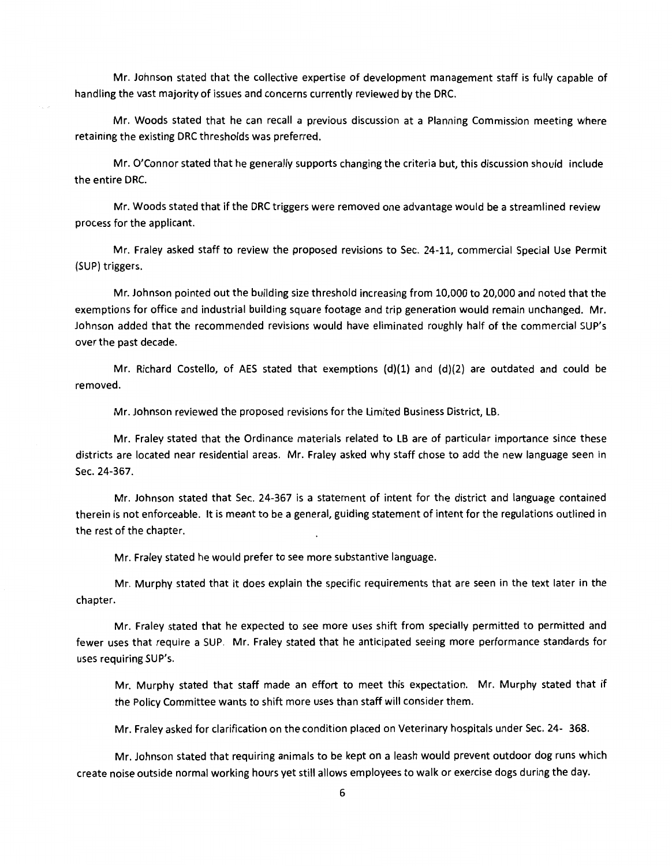Mr. Johnson stated that the collective expertise of development management staff is fully capable of handling the vast majority of issues and concerns currently reviewed by the DRC.

Mr. Woods stated that he can recall a previous discussion at a Planning Commission meeting where retaining the existing DRC thresholds was preferred.

Mr. O'Connor stated that he generally supports changing the criteria but, this discussion should include the entire DRC.

Mr. Woods stated that if the DRC triggers were removed one advantage would be a streamlined review process for the applicant.

Mr. Fraley asked staff to review the proposed revisions to Sec. 24-11, commercial Special Use Permit (SUP) triggers.

Mr. Johnson pointed out the building size threshold increasing from 10,000 to 20,000 and noted that the exemptions for office and industrial building square footage and trip generation would remain unchanged. Mr. Johnson added that the recommended revisions would have eliminated roughly half of the commercial SUP's over the past decade.

Mr. Richard Costello, of AES stated that exemptions  $(d)(1)$  and  $(d)(2)$  are outdated and could be removed.

Mr. Johnson reviewed the proposed revisions for the Limited Business District, LB.

Mr. Fraley stated that the Ordinance materials related to LB are of particular importance since these districts are located near residential areas. Mr. Fraley asked why staff chose to add the new language seen in Sec. 24-367.

Mr. Johnson stated that Sec. 24-367 is a statement of intent for the district and language contained therein is not enforceable. It is meant to be a general, guiding statement of intent for the regulations outlined in the rest of the chapter.

Mr. Fraley stated he would prefer to see more substantive language.

Mr. Murphy stated that it does explain the specific requirements that are seen in the text later in the chapter.

Mr. Fraley stated that he expected to see more uses shift from specially permitted to permitted and fewer uses that require a SUP. Mr. Fraley stated that he anticipated seeing more performance standards for uses requiring SUP's.

Mr. Murphy stated that staff made an effort to meet this expectation. Mr. Murphy stated that if the Policy Committee wants to shift more uses than staff will consider them.

Mr. Fraley asked for clarification on the condition placed on Veterinary hospitals under Sec. 24- 368.

Mr. Johnson stated that requiring animals to be kept on a leash would prevent outdoor dog runs which create noise outside normal working hours yet still allows employees to walk or exercise dogs during the day.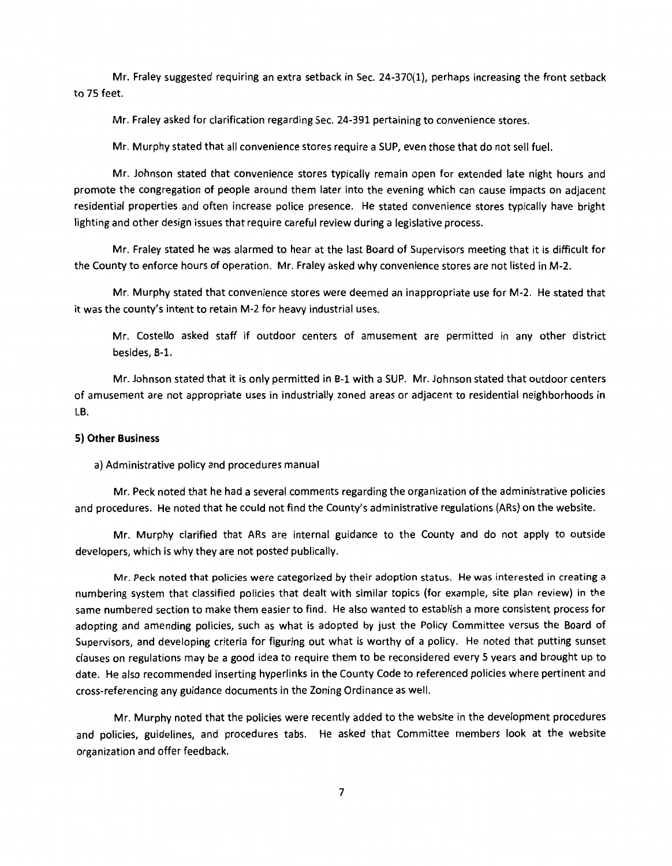Mr. Fraley suggested requiring an extra setback in Sec. 24-370(1), perhaps increasing the front setback to 75 feet.

Mr. Fraley asked for clarification regarding Sec. 24-391 pertaining to convenience stores.

Mr. Murphy stated that all convenience stores require a SUP, even those that do not sell fuel.

Mr. Johnson stated that convenience stores typically remain open for extended late night hours and promote the congregation of people around them later into the evening which can cause impacts on adjacent residential properties and often increase police presence. He stated convenience stores typically have bright lighting and other design issues that require careful review during a legislative process.

Mr. Fraley stated he was alarmed to hear at the last Board of Supervisors meeting that it is difficult for the County to enforce hours of operation. Mr. Fraley asked why convenience stores are not listed in M-2.

Mr. Murphy stated that convenience stores were deemed an inappropriate use for M-2. He stated that it was the county's intent to retain M-2 for heavy industrial uses.

Mr. Costello asked staff if outdoor centers of amusement are permitted in any other district besides, B-1.

Mr. Johnson stated that it is only permitted in B-1 with a SUP. Mr. Johnson stated that outdoor centers of amusement are not appropriate uses in industrially zoned areas or adjacent to residential neighborhoods in LB.

#### **5) Other Business**

a) Administrative policy and procedures manual

Mr. Peck noted that he had a several comments regarding the organization of the administrative policies and procedures. He noted that he could not find the County's administrative regulations (ARs) on the website.

Mr. Murphy clarified that ARs are internal guidance to the County and do not apply to outside developers, which is why they are not posted publically.

Mr. Peck noted that policies were categorized by their adoption status. He was interested in creating a numbering system that classified policies that dealt with similar topics (for example, site plan review) in the same numbered section to make them easier to find. He also wanted to establish a more consistent process for adopting and amending policies, such as what is adopted by just the Policy Committee versus the Board of Supervisors, and developing criteria for figuring out what is worthy of a policy. He noted that putting sunset clauses on regulations may be a good idea to require them to be reconsidered every 5 years and brought up to date. He also recommended inserting hyperlinks in the County Code to referenced policies where pertinent and cross-referencing any guidance documents in the Zoning Ordinance as well.

Mr. Murphy noted that the policies were recently added to the website in the development procedures and policies, guidelines, and procedures tabs. He asked that Committee members look at the website organization and offer feedback.